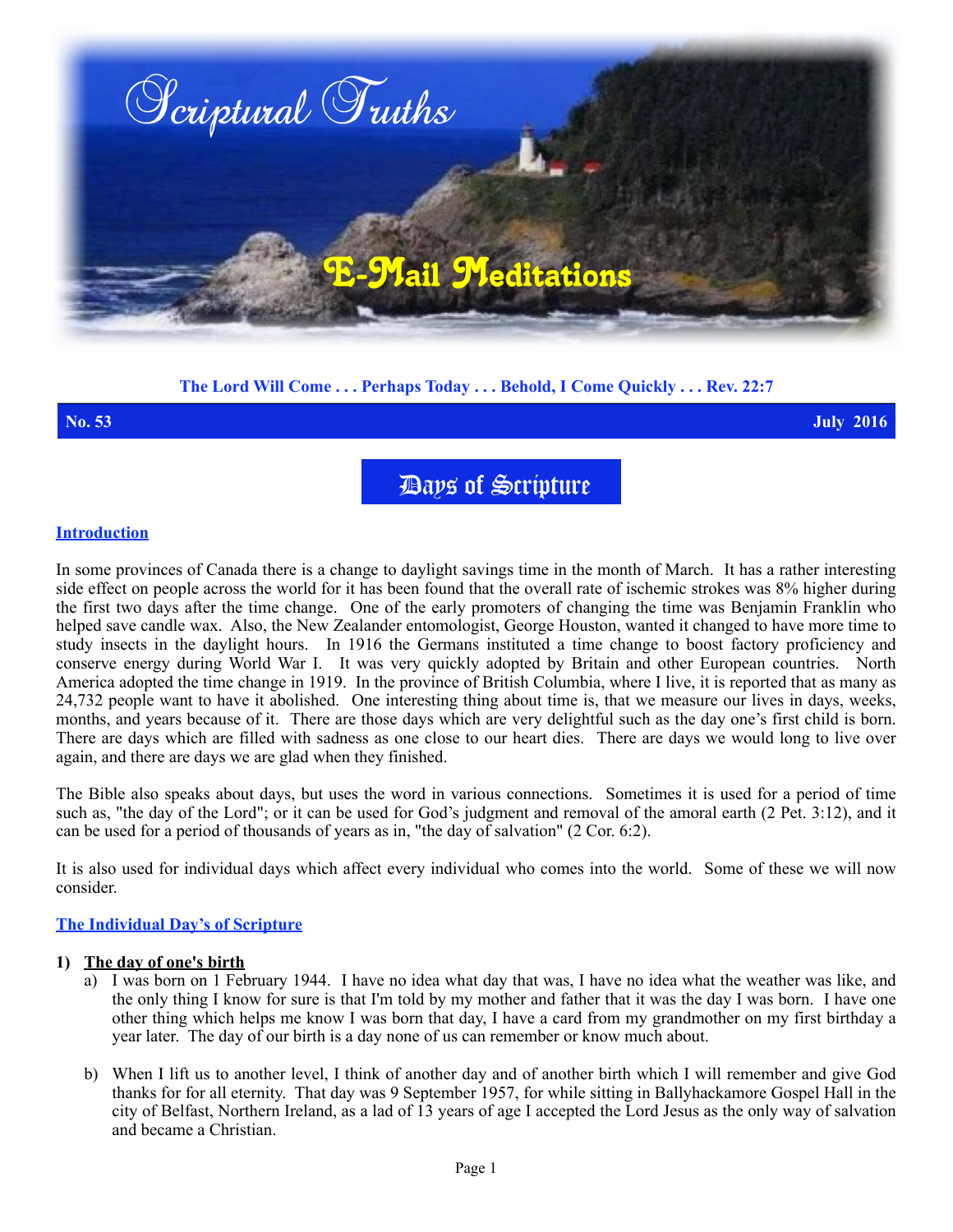

# **The Lord Will Come . . . Perhaps Today . . . Behold, I Come Quickly . . . Rev. 22:7**

**No. 53 July 2016**

Days of Scripture

## **Introduction**

In some provinces of Canada there is a change to daylight savings time in the month of March. It has a rather interesting side effect on people across the world for it has been found that the overall rate of ischemic strokes was 8% higher during the first two days after the time change. One of the early promoters of changing the time was Benjamin Franklin who helped save candle wax. Also, the New Zealander entomologist, George Houston, wanted it changed to have more time to study insects in the daylight hours. In 1916 the Germans instituted a time change to boost factory proficiency and conserve energy during World War I. It was very quickly adopted by Britain and other European countries. North America adopted the time change in 1919. In the province of British Columbia, where I live, it is reported that as many as 24,732 people want to have it abolished. One interesting thing about time is, that we measure our lives in days, weeks, months, and years because of it. There are those days which are very delightful such as the day one's first child is born. There are days which are filled with sadness as one close to our heart dies. There are days we would long to live over again, and there are days we are glad when they finished.

The Bible also speaks about days, but uses the word in various connections. Sometimes it is used for a period of time such as, "the day of the Lord"; or it can be used for God's judgment and removal of the amoral earth (2 Pet. 3:12), and it can be used for a period of thousands of years as in, "the day of salvation" (2 Cor. 6:2).

It is also used for individual days which affect every individual who comes into the world. Some of these we will now consider.

### **The Individual Day's of Scripture**

#### **1) The day of one's birth**

- a) I was born on 1 February 1944. I have no idea what day that was, I have no idea what the weather was like, and the only thing I know for sure is that I'm told by my mother and father that it was the day I was born. I have one other thing which helps me know I was born that day, I have a card from my grandmother on my first birthday a year later. The day of our birth is a day none of us can remember or know much about.
- b) When I lift us to another level, I think of another day and of another birth which I will remember and give God thanks for for all eternity. That day was 9 September 1957, for while sitting in Ballyhackamore Gospel Hall in the city of Belfast, Northern Ireland, as a lad of 13 years of age I accepted the Lord Jesus as the only way of salvation and became a Christian.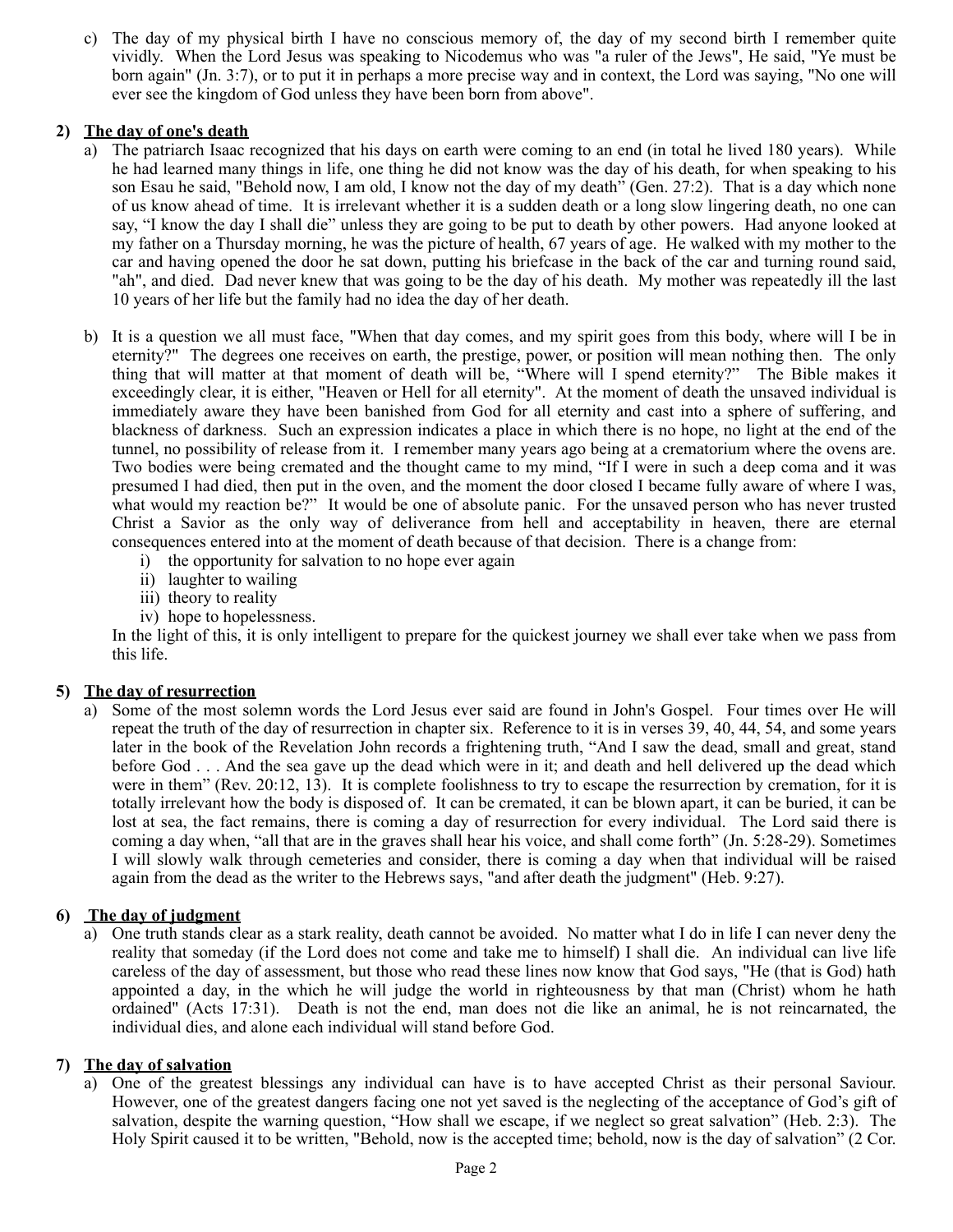c) The day of my physical birth I have no conscious memory of, the day of my second birth I remember quite vividly. When the Lord Jesus was speaking to Nicodemus who was "a ruler of the Jews", He said, "Ye must be born again" (Jn. 3:7), or to put it in perhaps a more precise way and in context, the Lord was saying, "No one will ever see the kingdom of God unless they have been born from above".

## **2) The day of one's death**

- a) The patriarch Isaac recognized that his days on earth were coming to an end (in total he lived 180 years). While he had learned many things in life, one thing he did not know was the day of his death, for when speaking to his son Esau he said, "Behold now, I am old, I know not the day of my death" (Gen. 27:2). That is a day which none of us know ahead of time. It is irrelevant whether it is a sudden death or a long slow lingering death, no one can say, "I know the day I shall die" unless they are going to be put to death by other powers. Had anyone looked at my father on a Thursday morning, he was the picture of health, 67 years of age. He walked with my mother to the car and having opened the door he sat down, putting his briefcase in the back of the car and turning round said, "ah", and died. Dad never knew that was going to be the day of his death. My mother was repeatedly ill the last 10 years of her life but the family had no idea the day of her death.
- b) It is a question we all must face, "When that day comes, and my spirit goes from this body, where will I be in eternity?" The degrees one receives on earth, the prestige, power, or position will mean nothing then. The only thing that will matter at that moment of death will be, "Where will I spend eternity?" The Bible makes it exceedingly clear, it is either, "Heaven or Hell for all eternity". At the moment of death the unsaved individual is immediately aware they have been banished from God for all eternity and cast into a sphere of suffering, and blackness of darkness. Such an expression indicates a place in which there is no hope, no light at the end of the tunnel, no possibility of release from it. I remember many years ago being at a crematorium where the ovens are. Two bodies were being cremated and the thought came to my mind, "If I were in such a deep coma and it was presumed I had died, then put in the oven, and the moment the door closed I became fully aware of where I was, what would my reaction be?" It would be one of absolute panic. For the unsaved person who has never trusted Christ a Savior as the only way of deliverance from hell and acceptability in heaven, there are eternal consequences entered into at the moment of death because of that decision. There is a change from:
	- i) the opportunity for salvation to no hope ever again
	- ii) laughter to wailing
	- iii) theory to reality
	- iv) hope to hopelessness.

In the light of this, it is only intelligent to prepare for the quickest journey we shall ever take when we pass from this life.

### **5) The day of resurrection**

a) Some of the most solemn words the Lord Jesus ever said are found in John's Gospel. Four times over He will repeat the truth of the day of resurrection in chapter six. Reference to it is in verses 39, 40, 44, 54, and some years later in the book of the Revelation John records a frightening truth, "And I saw the dead, small and great, stand before God . . . And the sea gave up the dead which were in it; and death and hell delivered up the dead which were in them" (Rev. 20:12, 13). It is complete foolishness to try to escape the resurrection by cremation, for it is totally irrelevant how the body is disposed of. It can be cremated, it can be blown apart, it can be buried, it can be lost at sea, the fact remains, there is coming a day of resurrection for every individual. The Lord said there is coming a day when, "all that are in the graves shall hear his voice, and shall come forth" (Jn. 5:28-29). Sometimes I will slowly walk through cemeteries and consider, there is coming a day when that individual will be raised again from the dead as the writer to the Hebrews says, "and after death the judgment" (Heb. 9:27).

## **6) The day of judgment**

a) One truth stands clear as a stark reality, death cannot be avoided. No matter what I do in life I can never deny the reality that someday (if the Lord does not come and take me to himself) I shall die. An individual can live life careless of the day of assessment, but those who read these lines now know that God says, "He (that is God) hath appointed a day, in the which he will judge the world in righteousness by that man (Christ) whom he hath ordained" (Acts 17:31). Death is not the end, man does not die like an animal, he is not reincarnated, the individual dies, and alone each individual will stand before God.

### **7) The day of salvation**

a) One of the greatest blessings any individual can have is to have accepted Christ as their personal Saviour. However, one of the greatest dangers facing one not yet saved is the neglecting of the acceptance of God's gift of salvation, despite the warning question, "How shall we escape, if we neglect so great salvation" (Heb. 2:3). The Holy Spirit caused it to be written, "Behold, now is the accepted time; behold, now is the day of salvation" (2 Cor.